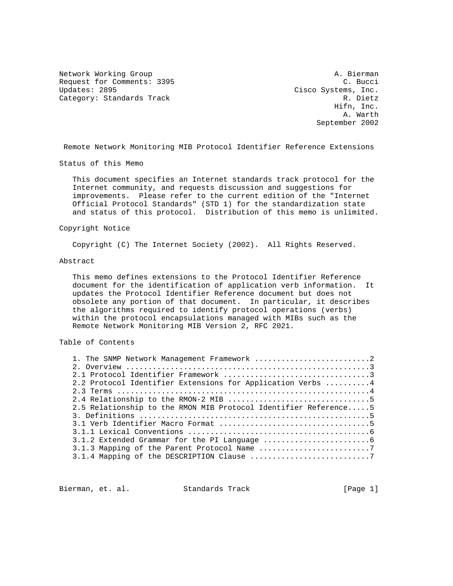Network Working Group and A. Bierman A. Bierman Request for Comments: 3395 C. Bucci<br>Updates: 2895 C. Bucci Cisco Systems, Inc. Category: Standards Track R. Dietz

Cisco Systems, Inc. Hifn, Inc. A. Warth September 2002

Remote Network Monitoring MIB Protocol Identifier Reference Extensions

Status of this Memo

 This document specifies an Internet standards track protocol for the Internet community, and requests discussion and suggestions for improvements. Please refer to the current edition of the "Internet Official Protocol Standards" (STD 1) for the standardization state and status of this protocol. Distribution of this memo is unlimited.

#### Copyright Notice

Copyright (C) The Internet Society (2002). All Rights Reserved.

#### Abstract

 This memo defines extensions to the Protocol Identifier Reference document for the identification of application verb information. It updates the Protocol Identifier Reference document but does not obsolete any portion of that document. In particular, it describes the algorithms required to identify protocol operations (verbs) within the protocol encapsulations managed with MIBs such as the Remote Network Monitoring MIB Version 2, RFC 2021.

# Table of Contents

| 1. The SNMP Network Management Framework 2                      |  |
|-----------------------------------------------------------------|--|
|                                                                 |  |
|                                                                 |  |
| 2.2 Protocol Identifier Extensions for Application Verbs 4      |  |
|                                                                 |  |
|                                                                 |  |
| 2.5 Relationship to the RMON MIB Protocol Identifier Reference5 |  |
|                                                                 |  |
|                                                                 |  |
|                                                                 |  |
|                                                                 |  |
| 3.1.3 Mapping of the Parent Protocol Name 7                     |  |
|                                                                 |  |

Bierman, et. al. Standards Track [Page 1]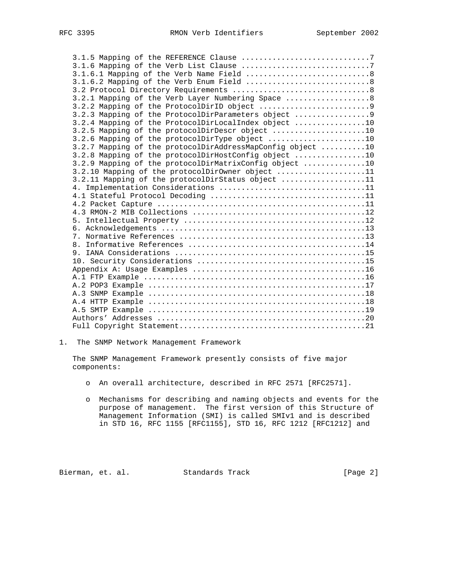| 3.2.1 Mapping of the Verb Layer Numbering Space  8         |
|------------------------------------------------------------|
|                                                            |
| 3.2.3 Mapping of the ProtocolDirParameters object 9        |
| 3.2.4 Mapping of the ProtocolDirLocalIndex object 10       |
| 3.2.5 Mapping of the protocolDirDescr object 10            |
| 3.2.6 Mapping of the protocolDirType object 10             |
| 3.2.7 Mapping of the protocolDirAddressMapConfig object 10 |
| 3.2.8 Mapping of the protocolDirHostConfig object 10       |
| 3.2.9 Mapping of the protocolDirMatrixConfig object 10     |
| 3.2.10 Mapping of the protocolDirOwner object 11           |
| 3.2.11 Mapping of the protocolDirStatus object 11          |
|                                                            |
|                                                            |
|                                                            |
|                                                            |
|                                                            |
|                                                            |
|                                                            |
|                                                            |
|                                                            |
|                                                            |
|                                                            |
|                                                            |
|                                                            |
|                                                            |
|                                                            |
|                                                            |
|                                                            |
|                                                            |

1. The SNMP Network Management Framework

 The SNMP Management Framework presently consists of five major components:

- o An overall architecture, described in RFC 2571 [RFC2571].
- o Mechanisms for describing and naming objects and events for the purpose of management. The first version of this Structure of Management Information (SMI) is called SMIv1 and is described in STD 16, RFC 1155 [RFC1155], STD 16, RFC 1212 [RFC1212] and

Bierman, et. al. Standards Track [Page 2]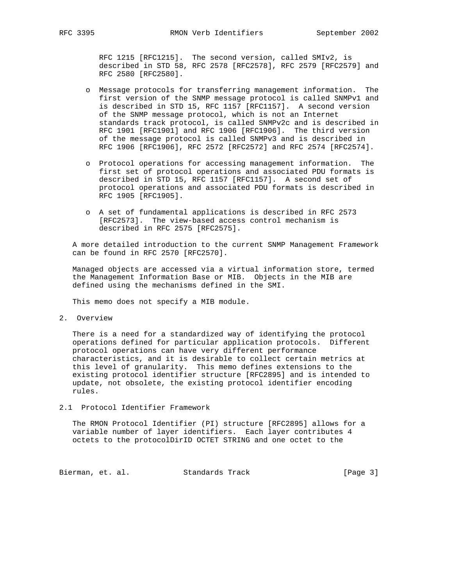RFC 1215 [RFC1215]. The second version, called SMIv2, is described in STD 58, RFC 2578 [RFC2578], RFC 2579 [RFC2579] and RFC 2580 [RFC2580].

- o Message protocols for transferring management information. The first version of the SNMP message protocol is called SNMPv1 and is described in STD 15, RFC 1157 [RFC1157]. A second version of the SNMP message protocol, which is not an Internet standards track protocol, is called SNMPv2c and is described in RFC 1901 [RFC1901] and RFC 1906 [RFC1906]. The third version of the message protocol is called SNMPv3 and is described in RFC 1906 [RFC1906], RFC 2572 [RFC2572] and RFC 2574 [RFC2574].
- o Protocol operations for accessing management information. The first set of protocol operations and associated PDU formats is described in STD 15, RFC 1157 [RFC1157]. A second set of protocol operations and associated PDU formats is described in RFC 1905 [RFC1905].
- o A set of fundamental applications is described in RFC 2573 [RFC2573]. The view-based access control mechanism is described in RFC 2575 [RFC2575].

 A more detailed introduction to the current SNMP Management Framework can be found in RFC 2570 [RFC2570].

 Managed objects are accessed via a virtual information store, termed the Management Information Base or MIB. Objects in the MIB are defined using the mechanisms defined in the SMI.

This memo does not specify a MIB module.

2. Overview

 There is a need for a standardized way of identifying the protocol operations defined for particular application protocols. Different protocol operations can have very different performance characteristics, and it is desirable to collect certain metrics at this level of granularity. This memo defines extensions to the existing protocol identifier structure [RFC2895] and is intended to update, not obsolete, the existing protocol identifier encoding rules.

2.1 Protocol Identifier Framework

 The RMON Protocol Identifier (PI) structure [RFC2895] allows for a variable number of layer identifiers. Each layer contributes 4 octets to the protocolDirID OCTET STRING and one octet to the

Bierman, et. al. Standards Track [Page 3]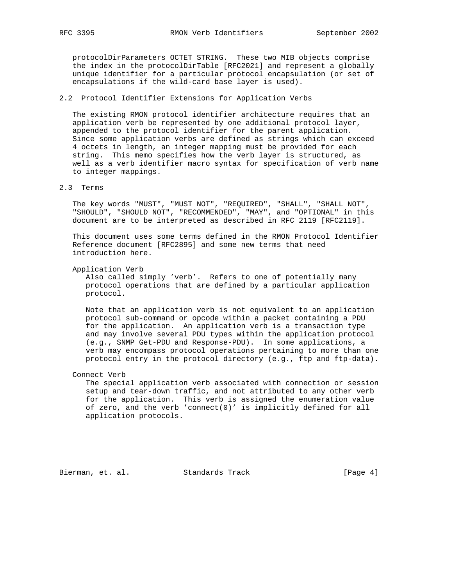protocolDirParameters OCTET STRING. These two MIB objects comprise the index in the protocolDirTable [RFC2021] and represent a globally unique identifier for a particular protocol encapsulation (or set of encapsulations if the wild-card base layer is used).

## 2.2 Protocol Identifier Extensions for Application Verbs

 The existing RMON protocol identifier architecture requires that an application verb be represented by one additional protocol layer, appended to the protocol identifier for the parent application. Since some application verbs are defined as strings which can exceed 4 octets in length, an integer mapping must be provided for each string. This memo specifies how the verb layer is structured, as well as a verb identifier macro syntax for specification of verb name to integer mappings.

### 2.3 Terms

 The key words "MUST", "MUST NOT", "REQUIRED", "SHALL", "SHALL NOT", "SHOULD", "SHOULD NOT", "RECOMMENDED", "MAY", and "OPTIONAL" in this document are to be interpreted as described in RFC 2119 [RFC2119].

 This document uses some terms defined in the RMON Protocol Identifier Reference document [RFC2895] and some new terms that need introduction here.

Application Verb

 Also called simply 'verb'. Refers to one of potentially many protocol operations that are defined by a particular application protocol.

 Note that an application verb is not equivalent to an application protocol sub-command or opcode within a packet containing a PDU for the application. An application verb is a transaction type and may involve several PDU types within the application protocol (e.g., SNMP Get-PDU and Response-PDU). In some applications, a verb may encompass protocol operations pertaining to more than one protocol entry in the protocol directory (e.g., ftp and ftp-data).

Connect Verb

 The special application verb associated with connection or session setup and tear-down traffic, and not attributed to any other verb for the application. This verb is assigned the enumeration value of zero, and the verb 'connect(0)' is implicitly defined for all application protocols.

Bierman, et. al. Standards Track [Page 4]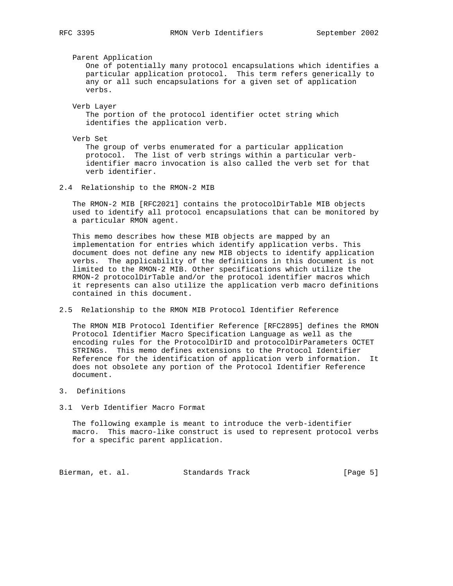Parent Application One of potentially many protocol encapsulations which identifies a particular application protocol. This term refers generically to any or all such encapsulations for a given set of application verbs.

 Verb Layer The portion of the protocol identifier octet string which identifies the application verb.

Verb Set

 The group of verbs enumerated for a particular application protocol. The list of verb strings within a particular verb identifier macro invocation is also called the verb set for that verb identifier.

2.4 Relationship to the RMON-2 MIB

 The RMON-2 MIB [RFC2021] contains the protocolDirTable MIB objects used to identify all protocol encapsulations that can be monitored by a particular RMON agent.

 This memo describes how these MIB objects are mapped by an implementation for entries which identify application verbs. This document does not define any new MIB objects to identify application verbs. The applicability of the definitions in this document is not limited to the RMON-2 MIB. Other specifications which utilize the RMON-2 protocolDirTable and/or the protocol identifier macros which it represents can also utilize the application verb macro definitions contained in this document.

2.5 Relationship to the RMON MIB Protocol Identifier Reference

 The RMON MIB Protocol Identifier Reference [RFC2895] defines the RMON Protocol Identifier Macro Specification Language as well as the encoding rules for the ProtocolDirID and protocolDirParameters OCTET STRINGs. This memo defines extensions to the Protocol Identifier Reference for the identification of application verb information. It does not obsolete any portion of the Protocol Identifier Reference document.

- 3. Definitions
- 3.1 Verb Identifier Macro Format

 The following example is meant to introduce the verb-identifier macro. This macro-like construct is used to represent protocol verbs for a specific parent application.

Bierman, et. al. Standards Track [Page 5]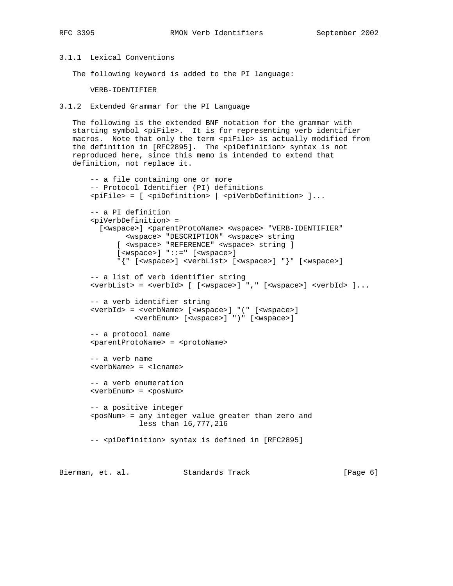# 3.1.1 Lexical Conventions

The following keyword is added to the PI language:

VERB-IDENTIFIER

3.1.2 Extended Grammar for the PI Language

 The following is the extended BNF notation for the grammar with starting symbol <piFile>. It is for representing verb identifier macros. Note that only the term <piFile> is actually modified from the definition in [RFC2895]. The <piDefinition> syntax is not reproduced here, since this memo is intended to extend that definition, not replace it.

```
 -- a file containing one or more
 -- Protocol Identifier (PI) definitions
 <piFile> = [ <piDefinition> | <piVerbDefinition> ]...
 -- a PI definition
 <piVerbDefinition> =
  [<wspace>] <parentProtoName> <wspace> "VERB-IDENTIFIER"
        <wspace> "DESCRIPTION" <wspace> string
       [ <wspace> "REFERENCE" <wspace> string ]
       [<wspace>] "::=" [<wspace>]
       "{" [<wspace>] <verbList> [<wspace>] "}" [<wspace>]
 -- a list of verb identifier string
 <verbList> = <verbId> [ [<wspace>] "," [<wspace>] <verbId> ]...
 -- a verb identifier string
 <verbId> = <verbName> [<wspace>] "(" [<wspace>]
          <verbEnum> [<wspace>] ")" [<wspace>]
 -- a protocol name
 <parentProtoName> = <protoName>
 -- a verb name
 <verbName> = <lcname>
 -- a verb enumeration
 <verbEnum> = <posNum>
 -- a positive integer
 <posNum> = any integer value greater than zero and
            less than 16,777,216
 -- <piDefinition> syntax is defined in [RFC2895]
```
Bierman, et. al. Standards Track [Page 6]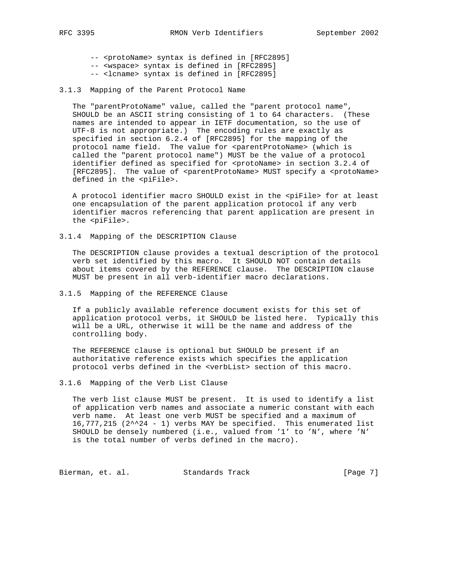-- <protoName> syntax is defined in [RFC2895] -- <wspace> syntax is defined in [RFC2895]

- -- <lcname> syntax is defined in [RFC2895]
- 
- 3.1.3 Mapping of the Parent Protocol Name

The "parentProtoName" value, called the "parent protocol name", SHOULD be an ASCII string consisting of 1 to 64 characters. (These names are intended to appear in IETF documentation, so the use of UTF-8 is not appropriate.) The encoding rules are exactly as specified in section 6.2.4 of [RFC2895] for the mapping of the protocol name field. The value for <parentProtoName> (which is called the "parent protocol name") MUST be the value of a protocol identifier defined as specified for <protoName> in section 3.2.4 of [RFC2895]. The value of <parentProtoName> MUST specify a <protoName> defined in the <piFile>.

 A protocol identifier macro SHOULD exist in the <piFile> for at least one encapsulation of the parent application protocol if any verb identifier macros referencing that parent application are present in the <piFile>.

3.1.4 Mapping of the DESCRIPTION Clause

 The DESCRIPTION clause provides a textual description of the protocol verb set identified by this macro. It SHOULD NOT contain details about items covered by the REFERENCE clause. The DESCRIPTION clause MUST be present in all verb-identifier macro declarations.

3.1.5 Mapping of the REFERENCE Clause

 If a publicly available reference document exists for this set of application protocol verbs, it SHOULD be listed here. Typically this will be a URL, otherwise it will be the name and address of the controlling body.

 The REFERENCE clause is optional but SHOULD be present if an authoritative reference exists which specifies the application protocol verbs defined in the <verbList> section of this macro.

3.1.6 Mapping of the Verb List Clause

 The verb list clause MUST be present. It is used to identify a list of application verb names and associate a numeric constant with each verb name. At least one verb MUST be specified and a maximum of 16,777,215 (2^^24 - 1) verbs MAY be specified. This enumerated list SHOULD be densely numbered (i.e., valued from '1' to 'N', where 'N' is the total number of verbs defined in the macro).

Bierman, et. al. Standards Track [Page 7]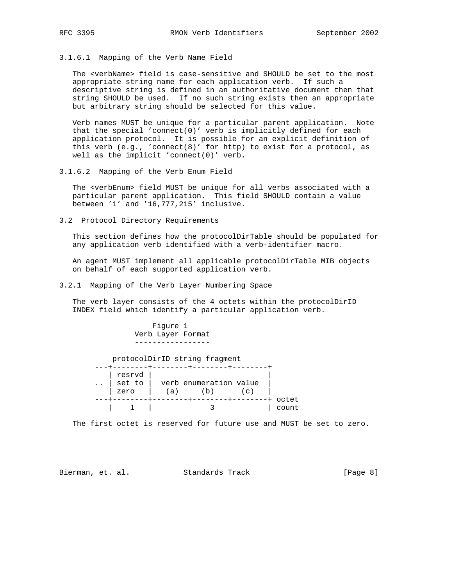3.1.6.1 Mapping of the Verb Name Field

 The <verbName> field is case-sensitive and SHOULD be set to the most appropriate string name for each application verb. If such a descriptive string is defined in an authoritative document then that string SHOULD be used. If no such string exists then an appropriate but arbitrary string should be selected for this value.

 Verb names MUST be unique for a particular parent application. Note that the special 'connect(0)' verb is implicitly defined for each application protocol. It is possible for an explicit definition of this verb (e.g., 'connect(8)' for http) to exist for a protocol, as well as the implicit 'connect(0)' verb.

3.1.6.2 Mapping of the Verb Enum Field

 The <verbEnum> field MUST be unique for all verbs associated with a particular parent application. This field SHOULD contain a value between '1' and '16,777,215' inclusive.

3.2 Protocol Directory Requirements

 This section defines how the protocolDirTable should be populated for any application verb identified with a verb-identifier macro.

 An agent MUST implement all applicable protocolDirTable MIB objects on behalf of each supported application verb.

3.2.1 Mapping of the Verb Layer Numbering Space

 The verb layer consists of the 4 octets within the protocolDirID INDEX field which identify a particular application verb.

 Figure 1 Verb Layer Format ---------------- protocolDirID string fragment ---+--------+--------+--------+--------+ | resrvd | |  $\ldots$  | set to | verb enumeration value | zero | (a) (b) (c) | ---+--------+--------+--------+--------+ octet | 1 | 3 | count

The first octet is reserved for future use and MUST be set to zero.

Bierman, et. al. Standards Track (Page 8)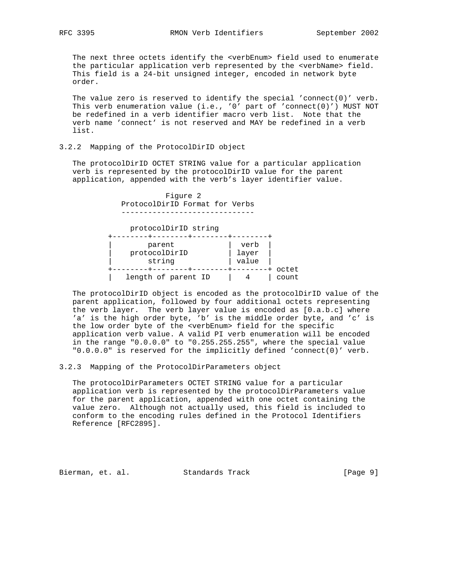The next three octets identify the <verbEnum> field used to enumerate the particular application verb represented by the <verbName> field. This field is a 24-bit unsigned integer, encoded in network byte order.

The value zero is reserved to identify the special 'connect(0)' verb. This verb enumeration value (i.e., '0' part of 'connect(0)') MUST NOT be redefined in a verb identifier macro verb list. Note that the verb name 'connect' is not reserved and MAY be redefined in a verb list.

## 3.2.2 Mapping of the ProtocolDirID object

 The protocolDirID OCTET STRING value for a particular application verb is represented by the protocolDirID value for the parent application, appended with the verb's layer identifier value.

> Figure 2 ProtocolDirID Format for Verbs ------------------------------

 protocolDirID string +--------+--------+--------+--------+ | parent | verb | | protocolDirID | layer | | string | value | +--------+--------+--------+--------+ octet | length of parent ID | 4 | count

 The protocolDirID object is encoded as the protocolDirID value of the parent application, followed by four additional octets representing the verb layer. The verb layer value is encoded as [0.a.b.c] where 'a' is the high order byte, 'b' is the middle order byte, and 'c' is the low order byte of the <verbEnum> field for the specific application verb value. A valid PI verb enumeration will be encoded in the range "0.0.0.0" to "0.255.255.255", where the special value "0.0.0.0" is reserved for the implicitly defined 'connect(0)' verb.

3.2.3 Mapping of the ProtocolDirParameters object

 The protocolDirParameters OCTET STRING value for a particular application verb is represented by the protocolDirParameters value for the parent application, appended with one octet containing the value zero. Although not actually used, this field is included to conform to the encoding rules defined in the Protocol Identifiers Reference [RFC2895].

Bierman, et. al. Standards Track [Page 9]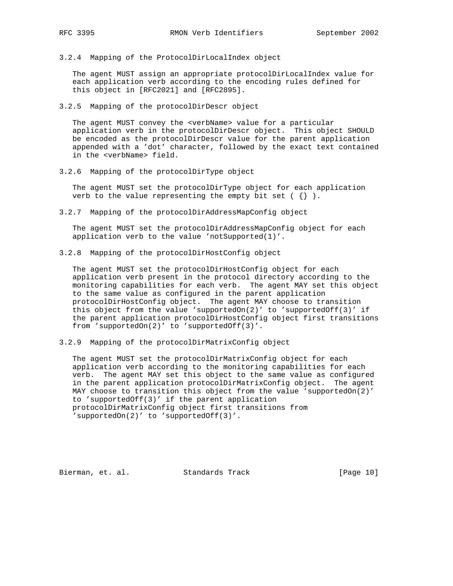3.2.4 Mapping of the ProtocolDirLocalIndex object

 The agent MUST assign an appropriate protocolDirLocalIndex value for each application verb according to the encoding rules defined for this object in [RFC2021] and [RFC2895].

3.2.5 Mapping of the protocolDirDescr object

 The agent MUST convey the <verbName> value for a particular application verb in the protocolDirDescr object. This object SHOULD be encoded as the protocolDirDescr value for the parent application appended with a 'dot' character, followed by the exact text contained in the <verbName> field.

3.2.6 Mapping of the protocolDirType object

 The agent MUST set the protocolDirType object for each application verb to the value representing the empty bit set ( $\{\}\)$ .

3.2.7 Mapping of the protocolDirAddressMapConfig object

 The agent MUST set the protocolDirAddressMapConfig object for each application verb to the value 'notSupported(1)'.

3.2.8 Mapping of the protocolDirHostConfig object

 The agent MUST set the protocolDirHostConfig object for each application verb present in the protocol directory according to the monitoring capabilities for each verb. The agent MAY set this object to the same value as configured in the parent application protocolDirHostConfig object. The agent MAY choose to transition this object from the value 'supportedOn(2)' to 'supportedOff(3)' if the parent application protocolDirHostConfig object first transitions from 'supportedOn(2)' to 'supportedOff(3)'.

3.2.9 Mapping of the protocolDirMatrixConfig object

 The agent MUST set the protocolDirMatrixConfig object for each application verb according to the monitoring capabilities for each verb. The agent MAY set this object to the same value as configured in the parent application protocolDirMatrixConfig object. The agent MAY choose to transition this object from the value 'supportedOn(2)' to 'supportedOff(3)' if the parent application protocolDirMatrixConfig object first transitions from 'supportedOn(2)' to 'supportedOff(3)'.

Bierman, et. al. Standards Track [Page 10]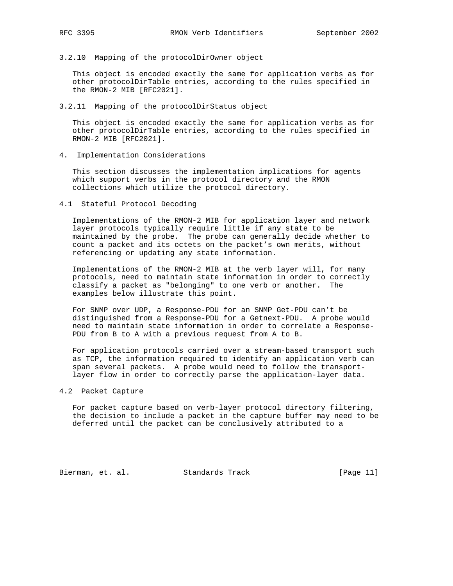3.2.10 Mapping of the protocolDirOwner object

 This object is encoded exactly the same for application verbs as for other protocolDirTable entries, according to the rules specified in the RMON-2 MIB [RFC2021].

3.2.11 Mapping of the protocolDirStatus object

 This object is encoded exactly the same for application verbs as for other protocolDirTable entries, according to the rules specified in RMON-2 MIB [RFC2021].

4. Implementation Considerations

 This section discusses the implementation implications for agents which support verbs in the protocol directory and the RMON collections which utilize the protocol directory.

4.1 Stateful Protocol Decoding

 Implementations of the RMON-2 MIB for application layer and network layer protocols typically require little if any state to be maintained by the probe. The probe can generally decide whether to count a packet and its octets on the packet's own merits, without referencing or updating any state information.

 Implementations of the RMON-2 MIB at the verb layer will, for many protocols, need to maintain state information in order to correctly classify a packet as "belonging" to one verb or another. The examples below illustrate this point.

 For SNMP over UDP, a Response-PDU for an SNMP Get-PDU can't be distinguished from a Response-PDU for a Getnext-PDU. A probe would need to maintain state information in order to correlate a Response- PDU from B to A with a previous request from A to B.

 For application protocols carried over a stream-based transport such as TCP, the information required to identify an application verb can span several packets. A probe would need to follow the transport layer flow in order to correctly parse the application-layer data.

## 4.2 Packet Capture

 For packet capture based on verb-layer protocol directory filtering, the decision to include a packet in the capture buffer may need to be deferred until the packet can be conclusively attributed to a

Bierman, et. al. Standards Track [Page 11]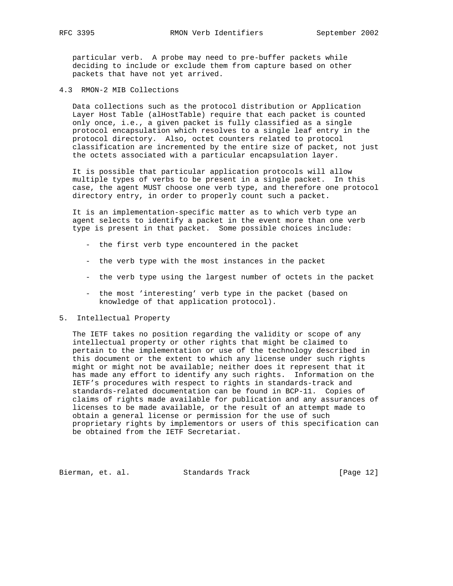particular verb. A probe may need to pre-buffer packets while deciding to include or exclude them from capture based on other packets that have not yet arrived.

4.3 RMON-2 MIB Collections

 Data collections such as the protocol distribution or Application Layer Host Table (alHostTable) require that each packet is counted only once, i.e., a given packet is fully classified as a single protocol encapsulation which resolves to a single leaf entry in the protocol directory. Also, octet counters related to protocol classification are incremented by the entire size of packet, not just the octets associated with a particular encapsulation layer.

 It is possible that particular application protocols will allow multiple types of verbs to be present in a single packet. In this case, the agent MUST choose one verb type, and therefore one protocol directory entry, in order to properly count such a packet.

 It is an implementation-specific matter as to which verb type an agent selects to identify a packet in the event more than one verb type is present in that packet. Some possible choices include:

- the first verb type encountered in the packet
- the verb type with the most instances in the packet
- the verb type using the largest number of octets in the packet
- the most 'interesting' verb type in the packet (based on knowledge of that application protocol).
- 5. Intellectual Property

 The IETF takes no position regarding the validity or scope of any intellectual property or other rights that might be claimed to pertain to the implementation or use of the technology described in this document or the extent to which any license under such rights might or might not be available; neither does it represent that it has made any effort to identify any such rights. Information on the IETF's procedures with respect to rights in standards-track and standards-related documentation can be found in BCP-11. Copies of claims of rights made available for publication and any assurances of licenses to be made available, or the result of an attempt made to obtain a general license or permission for the use of such proprietary rights by implementors or users of this specification can be obtained from the IETF Secretariat.

Bierman, et. al. Standards Track [Page 12]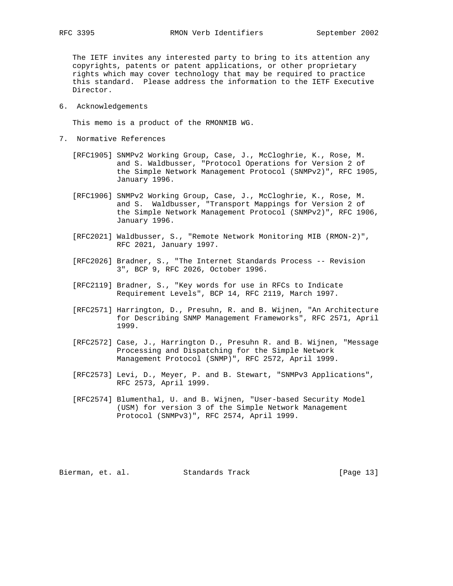The IETF invites any interested party to bring to its attention any copyrights, patents or patent applications, or other proprietary rights which may cover technology that may be required to practice this standard. Please address the information to the IETF Executive Director.

6. Acknowledgements

This memo is a product of the RMONMIB WG.

- 7. Normative References
	- [RFC1905] SNMPv2 Working Group, Case, J., McCloghrie, K., Rose, M. and S. Waldbusser, "Protocol Operations for Version 2 of the Simple Network Management Protocol (SNMPv2)", RFC 1905, January 1996.
	- [RFC1906] SNMPv2 Working Group, Case, J., McCloghrie, K., Rose, M. and S. Waldbusser, "Transport Mappings for Version 2 of the Simple Network Management Protocol (SNMPv2)", RFC 1906, January 1996.
	- [RFC2021] Waldbusser, S., "Remote Network Monitoring MIB (RMON-2)", RFC 2021, January 1997.
	- [RFC2026] Bradner, S., "The Internet Standards Process -- Revision 3", BCP 9, RFC 2026, October 1996.
	- [RFC2119] Bradner, S., "Key words for use in RFCs to Indicate Requirement Levels", BCP 14, RFC 2119, March 1997.
	- [RFC2571] Harrington, D., Presuhn, R. and B. Wijnen, "An Architecture for Describing SNMP Management Frameworks", RFC 2571, April 1999.
	- [RFC2572] Case, J., Harrington D., Presuhn R. and B. Wijnen, "Message Processing and Dispatching for the Simple Network Management Protocol (SNMP)", RFC 2572, April 1999.
	- [RFC2573] Levi, D., Meyer, P. and B. Stewart, "SNMPv3 Applications", RFC 2573, April 1999.
	- [RFC2574] Blumenthal, U. and B. Wijnen, "User-based Security Model (USM) for version 3 of the Simple Network Management Protocol (SNMPv3)", RFC 2574, April 1999.

Bierman, et. al. Standards Track [Page 13]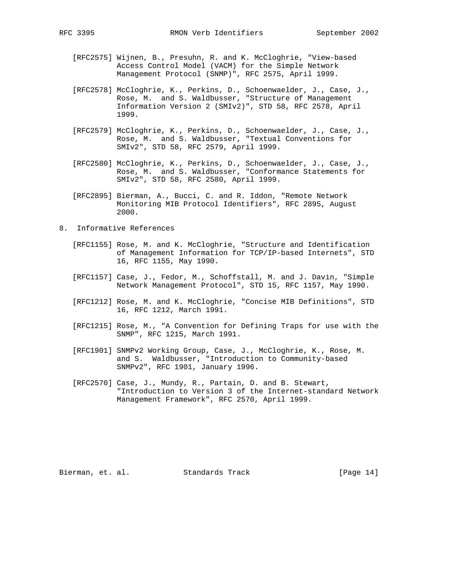- [RFC2575] Wijnen, B., Presuhn, R. and K. McCloghrie, "View-based Access Control Model (VACM) for the Simple Network Management Protocol (SNMP)", RFC 2575, April 1999.
- [RFC2578] McCloghrie, K., Perkins, D., Schoenwaelder, J., Case, J., Rose, M. and S. Waldbusser, "Structure of Management Information Version 2 (SMIv2)", STD 58, RFC 2578, April 1999.
- [RFC2579] McCloghrie, K., Perkins, D., Schoenwaelder, J., Case, J., Rose, M. and S. Waldbusser, "Textual Conventions for SMIv2", STD 58, RFC 2579, April 1999.
- [RFC2580] McCloghrie, K., Perkins, D., Schoenwaelder, J., Case, J., Rose, M. and S. Waldbusser, "Conformance Statements for SMIv2", STD 58, RFC 2580, April 1999.
	- [RFC2895] Bierman, A., Bucci, C. and R. Iddon, "Remote Network Monitoring MIB Protocol Identifiers", RFC 2895, August 2000.
- 8. Informative References
	- [RFC1155] Rose, M. and K. McCloghrie, "Structure and Identification of Management Information for TCP/IP-based Internets", STD 16, RFC 1155, May 1990.
	- [RFC1157] Case, J., Fedor, M., Schoffstall, M. and J. Davin, "Simple Network Management Protocol", STD 15, RFC 1157, May 1990.
	- [RFC1212] Rose, M. and K. McCloghrie, "Concise MIB Definitions", STD 16, RFC 1212, March 1991.
	- [RFC1215] Rose, M., "A Convention for Defining Traps for use with the SNMP", RFC 1215, March 1991.
	- [RFC1901] SNMPv2 Working Group, Case, J., McCloghrie, K., Rose, M. and S. Waldbusser, "Introduction to Community-based SNMPv2", RFC 1901, January 1996.
	- [RFC2570] Case, J., Mundy, R., Partain, D. and B. Stewart, "Introduction to Version 3 of the Internet-standard Network Management Framework", RFC 2570, April 1999.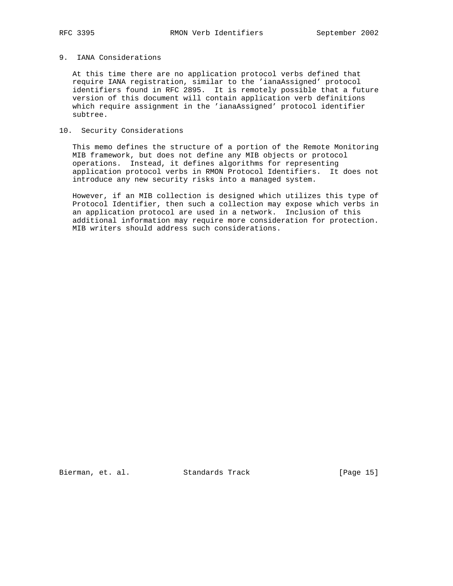# 9. IANA Considerations

 At this time there are no application protocol verbs defined that require IANA registration, similar to the 'ianaAssigned' protocol identifiers found in RFC 2895. It is remotely possible that a future version of this document will contain application verb definitions which require assignment in the 'ianaAssigned' protocol identifier subtree.

# 10. Security Considerations

 This memo defines the structure of a portion of the Remote Monitoring MIB framework, but does not define any MIB objects or protocol operations. Instead, it defines algorithms for representing application protocol verbs in RMON Protocol Identifiers. It does not introduce any new security risks into a managed system.

 However, if an MIB collection is designed which utilizes this type of Protocol Identifier, then such a collection may expose which verbs in an application protocol are used in a network. Inclusion of this additional information may require more consideration for protection. MIB writers should address such considerations.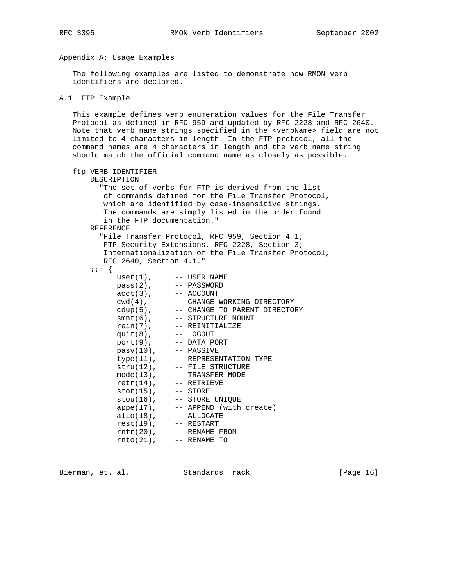# Appendix A: Usage Examples

 The following examples are listed to demonstrate how RMON verb identifiers are declared.

```
A.1 FTP Example
```
 This example defines verb enumeration values for the File Transfer Protocol as defined in RFC 959 and updated by RFC 2228 and RFC 2640. Note that verb name strings specified in the <verbName> field are not limited to 4 characters in length. In the FTP protocol, all the command names are 4 characters in length and the verb name string should match the official command name as closely as possible.

```
 ftp VERB-IDENTIFIER
      DESCRIPTION
        "The set of verbs for FTP is derived from the list
         of commands defined for the File Transfer Protocol,
         which are identified by case-insensitive strings.
         The commands are simply listed in the order found
         in the FTP documentation."
      REFERENCE
        "File Transfer Protocol, RFC 959, Section 4.1;
         FTP Security Extensions, RFC 2228, Section 3;
         Internationalization of the File Transfer Protocol,
         RFC 2640, Section 4.1."
       ::= {
user(1), --- USER NAME
 pass(2), -- PASSWORD
acct(3), -- ACCOUNT
cwd(4), -- CHANGE WORKING DIRECTORY
cdup(5), -- CHANGE TO PARENT DIRECTORY
smnt(6), -- STRUCTURE MOUNT
 rein(7), -- REINITIALIZE
 quit(8), -- LOGOUT
 port(9), -- DATA PORT
           post(9), -- pansv(10), -- PASSIVE<br>type(11), -- REPRESE
           type(11), -- REPRESENTATION TYPE<br>stru(12), -- FILE STRUCTURE
                     -- FILE STRUCTURE
           mode(13), -- TRANSFER MODE
           retr(14), --- RETRIEVE
          stor(15), --- STORE
          stou(16), -- STORE UNIQUE
appe(17), -- APPEND (with create)
 allo(18), -- ALLOCATE
 rest(19), -- RESTART
 rnfr(20), -- RENAME FROM
 rnto(21), -- RENAME TO
```
Bierman, et. al. Standards Track [Page 16]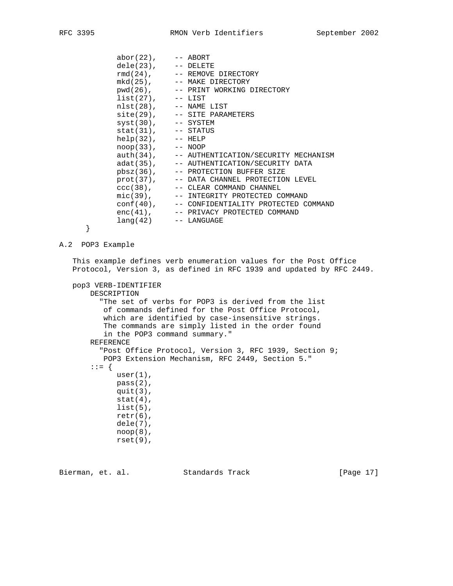|   | $abor(22)$ , $--$ ABORT<br>$dele(23)$ , $--$ DELETE<br>$rmd(24)$ , $--$ REMOVE DIRECTORY<br>mkd(25), -- MAKE DIRECTORY<br>pwd(26), -- PRINT WORKING DIRECTORY<br>$list(27), \t-- LIST$<br>$nlst(28)$ , $--$ NAME LIST<br>$site(29)$ , $--$ SITE PARAMETERS<br>$syst(30)$ , $--$ SYSTEM<br>$stat(31)$ , $--$ STATUS<br>$help(32), -- HELP$<br>$\text{noop}(33)$ , $\text{---}$ NOOP<br>auth(34), -- AUTHENTICATION/SECURITY MECHANISM<br>adat(35), -- AUTHENTICATION/SECURITY DATA<br>pbsz(36), -- PROTECTION BUFFER SIZE<br>prot(37), -- DATA CHANNEL PROTECTION LEVEL<br>ccc(38), -- CLEAR COMMAND CHANNEL<br>mic(39), -- INTEGRITY PROTECTED COMMAND<br>conf(40), -- CONFIDENTIALITY PROTECTED COMMAND<br>enc(41), -- PRIVACY PROTECTED COMMAND<br>$lang(42)$ -- $LANGUAGE$ |
|---|-------------------------------------------------------------------------------------------------------------------------------------------------------------------------------------------------------------------------------------------------------------------------------------------------------------------------------------------------------------------------------------------------------------------------------------------------------------------------------------------------------------------------------------------------------------------------------------------------------------------------------------------------------------------------------------------------------------------------------------------------------------------------------|
| ו |                                                                                                                                                                                                                                                                                                                                                                                                                                                                                                                                                                                                                                                                                                                                                                               |

```
 }
```
## A.2 POP3 Example

 This example defines verb enumeration values for the Post Office Protocol, Version 3, as defined in RFC 1939 and updated by RFC 2449.

```
 pop3 VERB-IDENTIFIER
```

```
 DESCRIPTION
   "The set of verbs for POP3 is derived from the list
```
 of commands defined for the Post Office Protocol, which are identified by case-insensitive strings. The commands are simply listed in the order found in the POP3 command summary." REFERENCE "Post Office Protocol, Version 3, RFC 1939, Section 9; POP3 Extension Mechanism, RFC 2449, Section 5." ::= { user(1), pass(2), quit(3),  $stat(4)$ , list(5),  $retr(6)$ , dele(7), noop(8), rset(9),

Bierman, et. al. Standards Track [Page 17]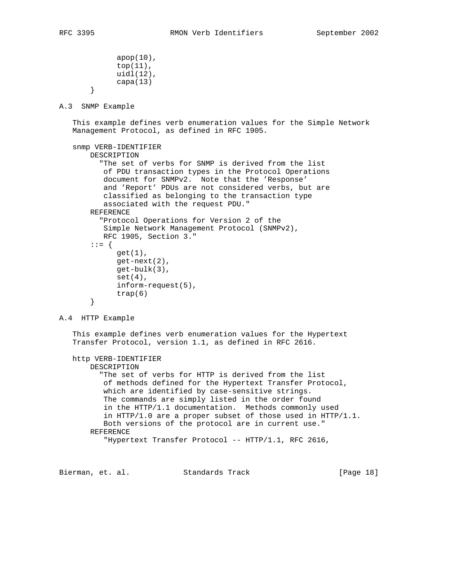```
 apop(10),
              top(11),
              uidl(12),
              capa(13)
        }
A.3 SNMP Example
    This example defines verb enumeration values for the Simple Network
    Management Protocol, as defined in RFC 1905.
    snmp VERB-IDENTIFIER
        DESCRIPTION
          "The set of verbs for SNMP is derived from the list
           of PDU transaction types in the Protocol Operations
           document for SNMPv2. Note that the 'Response'
           and 'Report' PDUs are not considered verbs, but are
           classified as belonging to the transaction type
           associated with the request PDU."
        REFERENCE
          "Protocol Operations for Version 2 of the
           Simple Network Management Protocol (SNMPv2),
           RFC 1905, Section 3."
        ::= {
              get(1),
              get-next(2),
              get-bulk(3),
              set(4),
              inform-request(5),
              trap(6)
        }
A.4 HTTP Example
    This example defines verb enumeration values for the Hypertext
    Transfer Protocol, version 1.1, as defined in RFC 2616.
    http VERB-IDENTIFIER
        DESCRIPTION
          "The set of verbs for HTTP is derived from the list
           of methods defined for the Hypertext Transfer Protocol,
           which are identified by case-sensitive strings.
           The commands are simply listed in the order found
           in the HTTP/1.1 documentation. Methods commonly used
           in HTTP/1.0 are a proper subset of those used in HTTP/1.1.
           Both versions of the protocol are in current use."
```
 REFERENCE "Hypertext Transfer Protocol -- HTTP/1.1, RFC 2616,

Bierman, et. al. Standards Track [Page 18]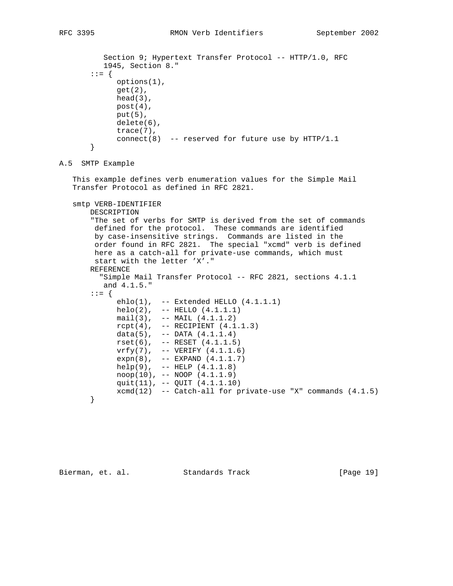```
Section 9; Hypertext Transfer Protocol -- HTTP/1.0, RFC
          1945, Section 8."
        ::= {
             options(1),
             get(2),
            head(3),
             post(4),
            put(5),
             delete(6),
             trace(7),
             connect(8) -- reserved for future use by HTTP/1.1
       }
A.5 SMTP Example
    This example defines verb enumeration values for the Simple Mail
    Transfer Protocol as defined in RFC 2821.
    smtp VERB-IDENTIFIER
       DESCRIPTION
       "The set of verbs for SMTP is derived from the set of commands
        defined for the protocol. These commands are identified
        by case-insensitive strings. Commands are listed in the
        order found in RFC 2821. The special "xcmd" verb is defined
        here as a catch-all for private-use commands, which must
        start with the letter 'X'."
       REFERENCE
          "Simple Mail Transfer Protocol -- RFC 2821, sections 4.1.1
          and 4.1.5."
        ::= {
             ehlo(1), -- Extended HELLO (4.1.1.1)
             helo(2), -- HELLO (4.1.1.1)
            mail(3), -- MAIL (4.1.1.2)rcpt(4), -- RECIPIENT (4.1.1.3)data(5), -- DATA (4.1.1.4) rset(6), -- RESET (4.1.1.5)
 vrfy(7), -- VERIFY (4.1.1.6)
             expn(8), -- EXPAND (4.1.1.7)
 help(9), -- HELP (4.1.1.8)
 noop(10), -- NOOP (4.1.1.9)
             quit(11), -- QUIT (4.1.1.10)
             xcmd(12) -- Catch-all for private-use "X" commands (4.1.5)
       }
```
Bierman, et. al. Standards Track [Page 19]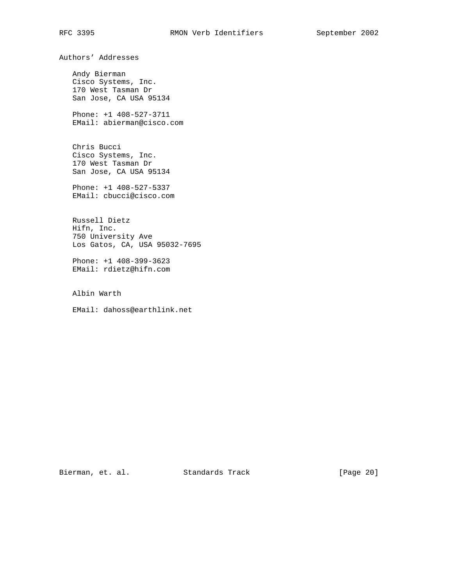Authors' Addresses

 Andy Bierman Cisco Systems, Inc. 170 West Tasman Dr San Jose, CA USA 95134

 Phone: +1 408-527-3711 EMail: abierman@cisco.com

 Chris Bucci Cisco Systems, Inc. 170 West Tasman Dr San Jose, CA USA 95134

 Phone: +1 408-527-5337 EMail: cbucci@cisco.com

 Russell Dietz Hifn, Inc. 750 University Ave Los Gatos, CA, USA 95032-7695

 Phone: +1 408-399-3623 EMail: rdietz@hifn.com

Albin Warth

EMail: dahoss@earthlink.net

Bierman, et. al. Standards Track [Page 20]